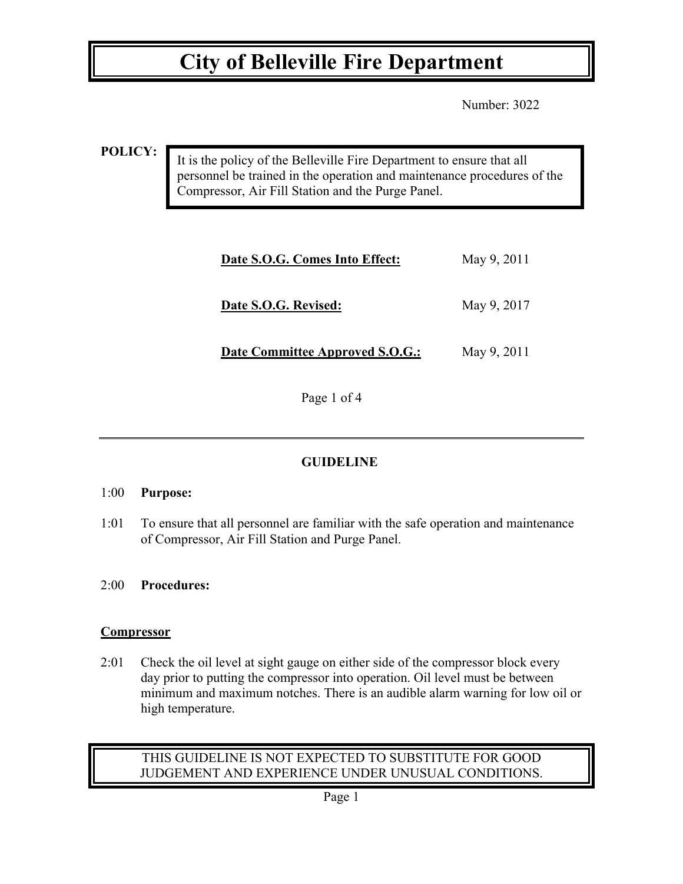Number: 3022

**POLICY:**

It is the policy of the Belleville Fire Department to ensure that all personnel be trained in the operation and maintenance procedures of the Compressor, Air Fill Station and the Purge Panel.

| Date S.O.G. Comes Into Effect:  | May 9, 2011 |
|---------------------------------|-------------|
| Date S.O.G. Revised:            | May 9, 2017 |
| Date Committee Approved S.O.G.: | May 9, 2011 |

Page 1 of 4

# **GUIDELINE**

# 1:00 **Purpose:**

1:01 To ensure that all personnel are familiar with the safe operation and maintenance of Compressor, Air Fill Station and Purge Panel.

# 2:00 **Procedures:**

# **Compressor**

2:01 Check the oil level at sight gauge on either side of the compressor block every day prior to putting the compressor into operation. Oil level must be between minimum and maximum notches. There is an audible alarm warning for low oil or high temperature.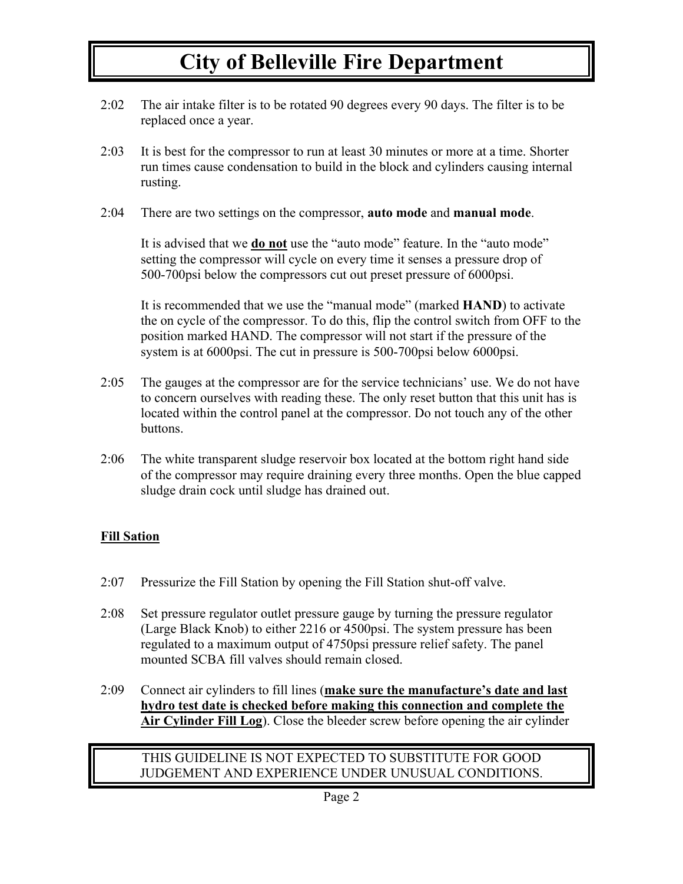- 2:02 The air intake filter is to be rotated 90 degrees every 90 days. The filter is to be replaced once a year.
- 2:03 It is best for the compressor to run at least 30 minutes or more at a time. Shorter run times cause condensation to build in the block and cylinders causing internal rusting.
- 2:04 There are two settings on the compressor, **auto mode** and **manual mode**.

It is advised that we **do not** use the "auto mode" feature. In the "auto mode" setting the compressor will cycle on every time it senses a pressure drop of 500-700psi below the compressors cut out preset pressure of 6000psi.

It is recommended that we use the "manual mode" (marked **HAND**) to activate the on cycle of the compressor. To do this, flip the control switch from OFF to the position marked HAND. The compressor will not start if the pressure of the system is at 6000psi. The cut in pressure is 500-700psi below 6000psi.

- 2:05 The gauges at the compressor are for the service technicians' use. We do not have to concern ourselves with reading these. The only reset button that this unit has is located within the control panel at the compressor. Do not touch any of the other buttons.
- 2:06 The white transparent sludge reservoir box located at the bottom right hand side of the compressor may require draining every three months. Open the blue capped sludge drain cock until sludge has drained out.

# **Fill Sation**

- 2:07 Pressurize the Fill Station by opening the Fill Station shut-off valve.
- 2:08 Set pressure regulator outlet pressure gauge by turning the pressure regulator (Large Black Knob) to either 2216 or 4500psi. The system pressure has been regulated to a maximum output of 4750psi pressure relief safety. The panel mounted SCBA fill valves should remain closed.
- 2:09 Connect air cylinders to fill lines (**make sure the manufacture's date and last hydro test date is checked before making this connection and complete the Air Cylinder Fill Log**). Close the bleeder screw before opening the air cylinder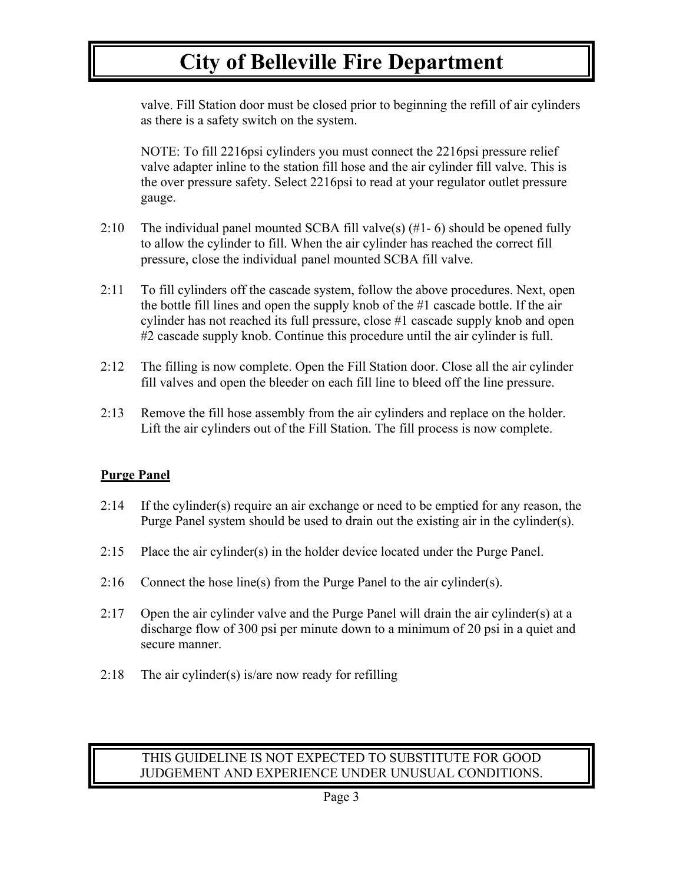valve. Fill Station door must be closed prior to beginning the refill of air cylinders as there is a safety switch on the system.

NOTE: To fill 2216psi cylinders you must connect the 2216psi pressure relief valve adapter inline to the station fill hose and the air cylinder fill valve. This is the over pressure safety. Select 2216psi to read at your regulator outlet pressure gauge.

- 2:10 The individual panel mounted SCBA fill valve(s)  $(\#1 6)$  should be opened fully to allow the cylinder to fill. When the air cylinder has reached the correct fill pressure, close the individual panel mounted SCBA fill valve.
- 2:11 To fill cylinders off the cascade system, follow the above procedures. Next, open the bottle fill lines and open the supply knob of the #1 cascade bottle. If the air cylinder has not reached its full pressure, close #1 cascade supply knob and open #2 cascade supply knob. Continue this procedure until the air cylinder is full.
- 2:12 The filling is now complete. Open the Fill Station door. Close all the air cylinder fill valves and open the bleeder on each fill line to bleed off the line pressure.
- 2:13 Remove the fill hose assembly from the air cylinders and replace on the holder. Lift the air cylinders out of the Fill Station. The fill process is now complete.

# **Purge Panel**

- 2:14 If the cylinder(s) require an air exchange or need to be emptied for any reason, the Purge Panel system should be used to drain out the existing air in the cylinder(s).
- 2:15 Place the air cylinder(s) in the holder device located under the Purge Panel.
- 2:16 Connect the hose line(s) from the Purge Panel to the air cylinder(s).
- 2:17 Open the air cylinder valve and the Purge Panel will drain the air cylinder(s) at a discharge flow of 300 psi per minute down to a minimum of 20 psi in a quiet and secure manner.
- 2:18 The air cylinder(s) is/are now ready for refilling